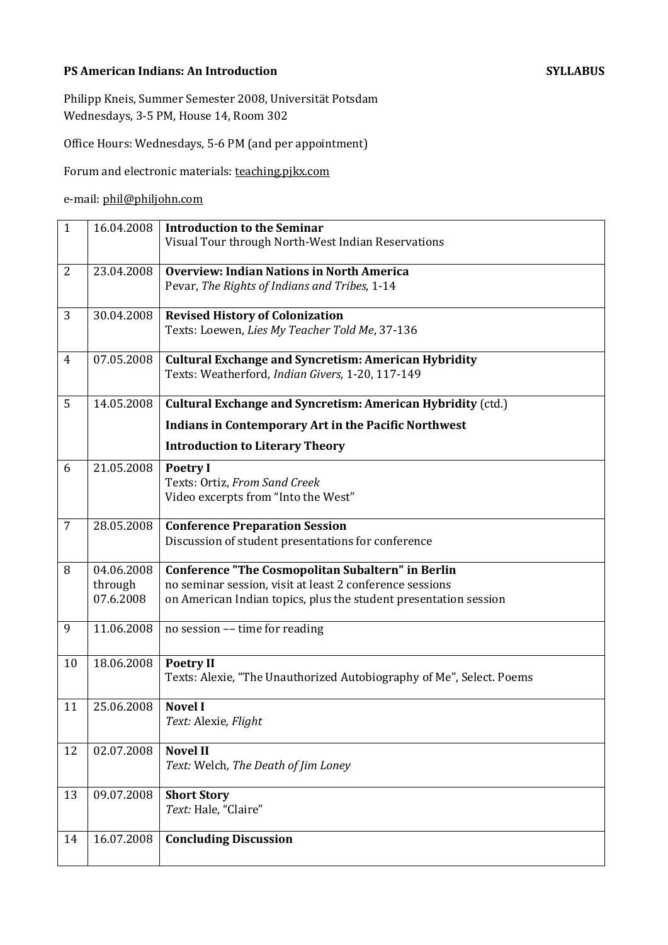# **PS American Indians: An Introduction SYLLABUS**

Philipp Kneis, Summer Semester 2008, Universität Potsdam Wednesdays, 3-5 PM, House 14, Room 302

Office Hours: Wednesdays, 5-6 PM (and per appointment)

Forum and electronic materials: teaching.pjkx.com

# e-mail: phil@philjohn.com

| $\mathbf{1}$   | 16.04.2008 | <b>Introduction to the Seminar</b>                                                       |
|----------------|------------|------------------------------------------------------------------------------------------|
|                |            | Visual Tour through North-West Indian Reservations                                       |
| $\overline{2}$ | 23.04.2008 | <b>Overview: Indian Nations in North America</b>                                         |
|                |            | Pevar, The Rights of Indians and Tribes, 1-14                                            |
|                |            |                                                                                          |
| 3              | 30.04.2008 | <b>Revised History of Colonization</b>                                                   |
|                |            | Texts: Loewen, Lies My Teacher Told Me, 37-136                                           |
| 4              | 07.05.2008 | <b>Cultural Exchange and Syncretism: American Hybridity</b>                              |
|                |            | Texts: Weatherford, Indian Givers, 1-20, 117-149                                         |
|                |            |                                                                                          |
| 5              | 14.05.2008 | <b>Cultural Exchange and Syncretism: American Hybridity (ctd.)</b>                       |
|                |            | <b>Indians in Contemporary Art in the Pacific Northwest</b>                              |
|                |            | <b>Introduction to Literary Theory</b>                                                   |
| 6              | 21.05.2008 | <b>Poetry I</b>                                                                          |
|                |            | Texts: Ortiz, From Sand Creek                                                            |
|                |            | Video excerpts from "Into the West"                                                      |
| 7              | 28.05.2008 | <b>Conference Preparation Session</b>                                                    |
|                |            | Discussion of student presentations for conference                                       |
| 8              | 04.06.2008 | <b>Conference "The Cosmopolitan Subaltern" in Berlin</b>                                 |
|                | through    | no seminar session, visit at least 2 conference sessions                                 |
|                | 07.6.2008  | on American Indian topics, plus the student presentation session                         |
|                |            |                                                                                          |
| 9              | 11.06.2008 | no session -- time for reading                                                           |
|                | 18.06.2008 |                                                                                          |
| 10             |            | <b>Poetry II</b><br>Texts: Alexie, "The Unauthorized Autobiography of Me", Select. Poems |
|                |            |                                                                                          |
| 11             | 25.06.2008 | <b>Novel I</b>                                                                           |
|                |            | Text: Alexie, Flight                                                                     |
| 12             | 02.07.2008 | <b>Novel II</b>                                                                          |
|                |            | Text: Welch, The Death of Jim Loney                                                      |
|                |            |                                                                                          |
| 13             | 09.07.2008 | <b>Short Story</b><br>Text: Hale, "Claire"                                               |
|                |            |                                                                                          |
| 14             | 16.07.2008 | <b>Concluding Discussion</b>                                                             |
|                |            |                                                                                          |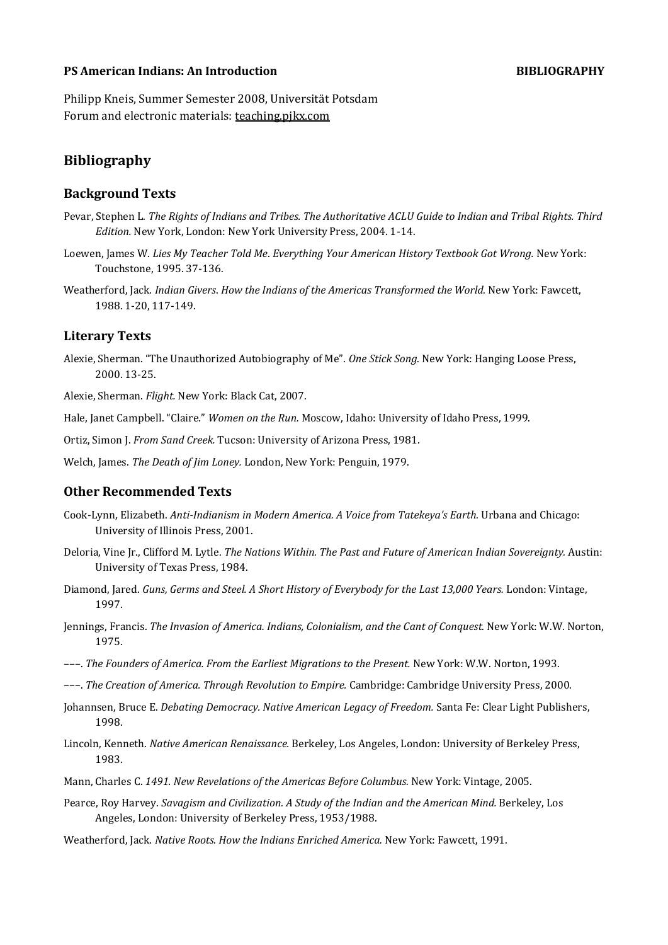### **PS American Indians: An Introduction BIBLIOGRAPHY**

Philipp Kneis, Summer Semester 2008, Universität Potsdam Forum and electronic materials: teaching.pikx.com

# **Bibliography**

## **Background Texts**

- Pevar, Stephen L. *The Rights of Indians and Tribes. The Authoritative ACLU Guide to Indian and Tribal Rights. Third Edition.* New York, London: New York University Press, 2004. 1-14.
- Loewen, James W. *Lies My Teacher Told Me*. *Everything Your American History Textbook Got Wrong.* New York: Touchstone, 1995. 37-136.
- Weatherford, Jack. *Indian Givers*. *How the Indians of the Americas Transformed the World.* New York: Fawcett, 1988. 1-20, 117-149.

#### **Literary Texts**

Alexie, Sherman. "The Unauthorized Autobiography of Me". *One Stick Song.* New York: Hanging Loose Press, 2000. 13-25.

Alexie, Sherman. *Flight.* New York: Black Cat, 2007.

Hale, Janet Campbell. "Claire." *Women on the Run.* Moscow, Idaho: University of Idaho Press, 1999.

Ortiz, Simon J. *From Sand Creek.* Tucson: University of Arizona Press, 1981.

Welch, James. *The Death of Jim Loney.* London, New York: Penguin, 1979.

### **Other Recommended Texts**

- Cook-Lynn, Elizabeth. *Anti-Indianism in Modern America. A Voice from Tatekeya's Earth.* Urbana and Chicago: University of Illinois Press, 2001.
- Deloria, Vine Jr., Clifford M. Lytle. *The Nations Within. The Past and Future of American Indian Sovereignty.* Austin: University of Texas Press, 1984.
- Diamond, Jared. *Guns, Germs and Steel. A Short History of Everybody for the Last 13,000 Years.* London: Vintage, 1997.
- Jennings, Francis. *The Invasion of America. Indians, Colonialism, and the Cant of Conquest.* New York: W.W. Norton, 1975.
- –––. *The Founders of America. From the Earliest Migrations to the Present.* New York: W.W. Norton, 1993.
- –––. *The Creation of America. Through Revolution to Empire.* Cambridge: Cambridge University Press, 2000.
- Johannsen, Bruce E. *Debating Democracy. Native American Legacy of Freedom.* Santa Fe: Clear Light Publishers, 1998.
- Lincoln, Kenneth. *Native American Renaissance.* Berkeley, Los Angeles, London: University of Berkeley Press, 1983.
- Mann, Charles C. *1491. New Revelations of the Americas Before Columbus.* New York: Vintage, 2005.
- Pearce, Roy Harvey. *Savagism and Civilization. A Study of the Indian and the American Mind.* Berkeley, Los Angeles, London: University of Berkeley Press, 1953/1988.
- Weatherford, Jack. *Native Roots. How the Indians Enriched America.* New York: Fawcett, 1991.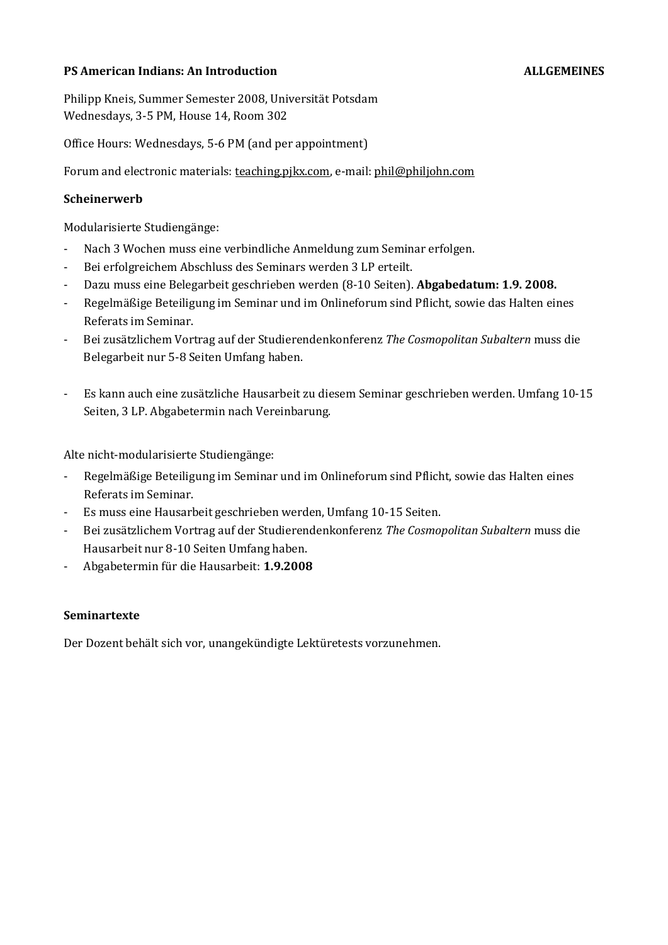# **PS American Indians: An Introduction ALLGEMEINES**

Philipp Kneis, Summer Semester 2008, Universität Potsdam Wednesdays, 3-5 PM, House 14, Room 302

Office Hours: Wednesdays, 5-6 PM (and per appointment)

Forum and electronic materials: teaching.pjkx.com, e-mail: phil@philjohn.com

### **Scheinerwerb**

Modularisierte Studiengänge:

- Nach 3 Wochen muss eine verbindliche Anmeldung zum Seminar erfolgen.
- Bei erfolgreichem Abschluss des Seminars werden 3 LP erteilt.
- Dazu muss eine Belegarbeit geschrieben werden (8-10 Seiten). **Abgabedatum: 1.9. 2008.**
- Regelmäßige Beteiligung im Seminar und im Onlineforum sind Pflicht, sowie das Halten eines Referats im Seminar.
- Bei zusätzlichem Vortrag auf der Studierendenkonferenz *The Cosmopolitan Subaltern* muss die Belegarbeit nur 5-8 Seiten Umfang haben.
- Es kann auch eine zusätzliche Hausarbeit zu diesem Seminar geschrieben werden. Umfang 10-15 Seiten, 3 LP. Abgabetermin nach Vereinbarung.

Alte nicht-modularisierte Studiengänge:

- Regelmäßige Beteiligung im Seminar und im Onlineforum sind Pflicht, sowie das Halten eines Referats im Seminar.
- Es muss eine Hausarbeit geschrieben werden, Umfang 10-15 Seiten.
- Bei zusätzlichem Vortrag auf der Studierendenkonferenz *The Cosmopolitan Subaltern* muss die Hausarbeit nur 8-10 Seiten Umfang haben.
- Abgabetermin für die Hausarbeit: **1.9.2008**

### **Seminartexte**

Der Dozent behält sich vor, unangekündigte Lektüretests vorzunehmen.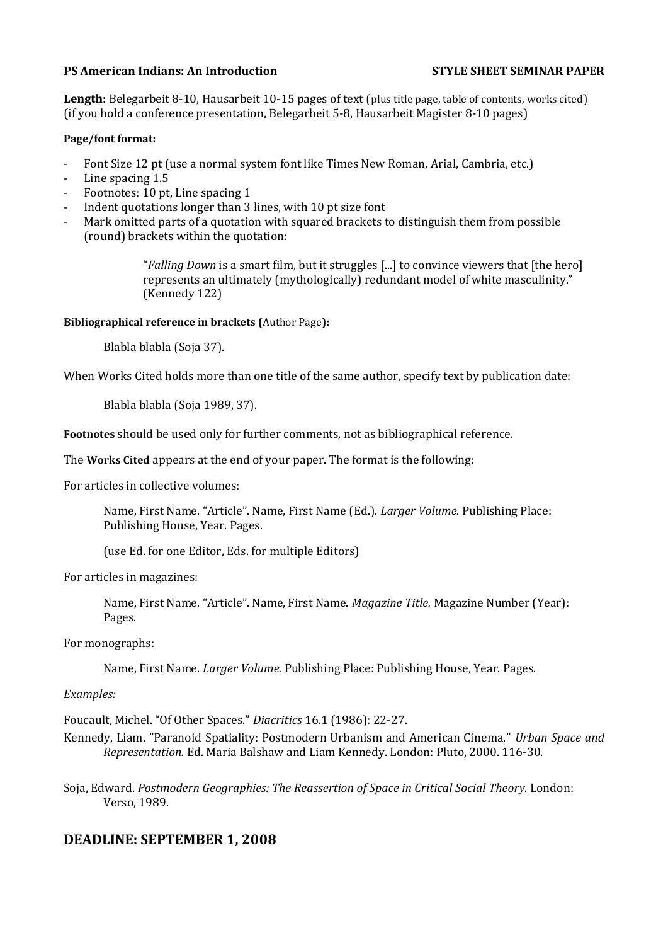### **PS American Indians: An Introduction STYLE SHEET SEMINAR PAPER**

Length: Belegarbeit 8-10, Hausarbeit 10-15 pages of text (plus title page, table of contents, works cited) (if you hold a conference presentation, Belegarbeit 5-8, Hausarbeit Magister 8-10 pages)

### **Page/font format:**

- Font Size 12 pt (use a normal system font like Times New Roman, Arial, Cambria, etc.)
- Line spacing 1.5
- Footnotes: 10 pt, Line spacing 1
- Indent quotations longer than 3 lines, with 10 pt size font
- Mark omitted parts of a quotation with squared brackets to distinguish them from possible (round) brackets within the quotation:

"*Falling Down* is a smart film, but it struggles [...] to convince viewers that [the hero] represents an ultimately (mythologically) redundant model of white masculinity." (Kennedy 122)

### **Bibliographical reference in brackets (**Author Page**):**

Blabla blabla (Soja 37).

When Works Cited holds more than one title of the same author, specify text by publication date:

Blabla blabla (Soja 1989, 37).

**Footnotes** should be used only for further comments, not as bibliographical reference.

The **Works Cited** appears at the end of your paper. The format is the following:

For articles in collective volumes:

Name, First Name. "Article". Name, First Name (Ed.). *Larger Volume.* Publishing Place: Publishing House, Year. Pages.

(use Ed. for one Editor, Eds. for multiple Editors)

For articles in magazines:

Name, First Name. "Article". Name, First Name. *Magazine Title.* Magazine Number (Year): Pages.

For monographs:

Name, First Name. *Larger Volume.* Publishing Place: Publishing House, Year. Pages.

### *Examples:*

Foucault, Michel. "Of Other Spaces." *Diacritics* 16.1 (1986): 22-27.

Kennedy, Liam. "Paranoid Spatiality: Postmodern Urbanism and American Cinema." *Urban Space and Representation.* Ed. Maria Balshaw and Liam Kennedy. London: Pluto, 2000. 116-30.

Soja, Edward. *Postmodern Geographies: The Reassertion of Space in Critical Social Theory*. London: Verso, 1989.

# **DEADLINE: SEPTEMBER 1, 2008**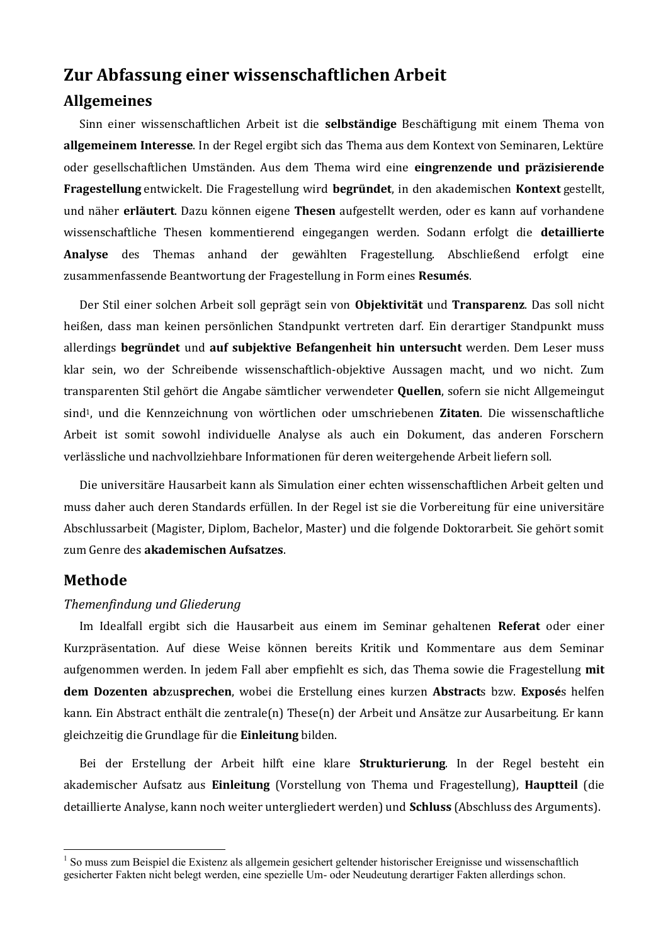# **Zur Abfassung einer wissenschaftlichen Arbeit**

# **Allgemeines**

Sinn einer wissenschaftlichen Arbeit ist die **selbständige** Beschäftigung mit einem Thema von **allgemeinem Interesse**. In der Regel ergibt sich das Thema aus dem Kontext von Seminaren, Lektüre oder gesellschaftlichen Umständen. Aus dem Thema wird eine **eingrenzende und präzisierende Fragestellung** entwickelt. Die Fragestellung wird **begründet**, in den akademischen **Kontext** gestellt, und näher **erläutert**. Dazu können eigene **Thesen** aufgestellt werden, oder es kann auf vorhandene wissenschaftliche Thesen kommentierend eingegangen werden. Sodann erfolgt die **detaillierte Analyse** des Themas anhand der gewählten Fragestellung. Abschließend erfolgt eine zusammenfassende Beantwortung der Fragestellung in Form eines **Resumés**.

Der Stil einer solchen Arbeit soll geprägt sein von **Objektivität** und **Transparenz**. Das soll nicht heißen, dass man keinen persönlichen Standpunkt vertreten darf. Ein derartiger Standpunkt muss allerdings **begründet** und **auf subjektive Befangenheit hin untersucht** werden. Dem Leser muss klar sein, wo der Schreibende wissenschaftlich-objektive Aussagen macht, und wo nicht. Zum transparenten Stil gehört die Angabe sämtlicher verwendeter **Quellen**, sofern sie nicht Allgemeingut sind1, und die Kennzeichnung von wörtlichen oder umschriebenen **Zitaten**. Die wissenschaftliche Arbeit ist somit sowohl individuelle Analyse als auch ein Dokument, das anderen Forschern verlässliche und nachvollziehbare Informationen für deren weitergehende Arbeit liefern soll.

Die universitäre Hausarbeit kann als Simulation einer echten wissenschaftlichen Arbeit gelten und muss daher auch deren Standards erfüllen. In der Regel ist sie die Vorbereitung für eine universitäre Abschlussarbeit (Magister, Diplom, Bachelor, Master) und die folgende Doktorarbeit. Sie gehört somit zum Genre des **akademischen Aufsatzes**.

# **Methode**

 $\overline{\phantom{a}}$ 

## *Themenfindung und Gliederung*

Im Idealfall ergibt sich die Hausarbeit aus einem im Seminar gehaltenen **Referat** oder einer Kurzpräsentation. Auf diese Weise können bereits Kritik und Kommentare aus dem Seminar aufgenommen werden. In jedem Fall aber empfiehlt es sich, das Thema sowie die Fragestellung **mit dem Dozenten ab**zu**sprechen**, wobei die Erstellung eines kurzen **Abstract**s bzw. **Exposé**s helfen kann. Ein Abstract enthält die zentrale(n) These(n) der Arbeit und Ansätze zur Ausarbeitung. Er kann gleichzeitig die Grundlage für die **Einleitung** bilden.

Bei der Erstellung der Arbeit hilft eine klare **Strukturierung**. In der Regel besteht ein akademischer Aufsatz aus **Einleitung** (Vorstellung von Thema und Fragestellung), **Hauptteil** (die detaillierte Analyse, kann noch weiter untergliedert werden) und **Schluss** (Abschluss des Arguments).

<sup>&</sup>lt;sup>1</sup> So muss zum Beispiel die Existenz als allgemein gesichert geltender historischer Ereignisse und wissenschaftlich gesicherter Fakten nicht belegt werden, eine spezielle Um- oder Neudeutung derartiger Fakten allerdings schon.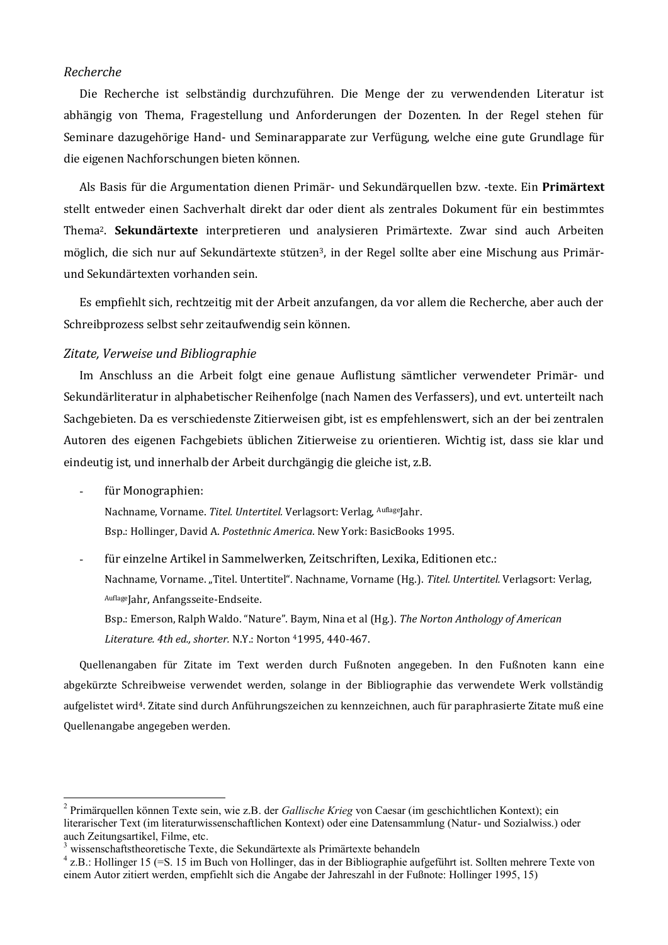### *Recherche*

Die Recherche ist selbständig durchzuführen. Die Menge der zu verwendenden Literatur ist abhängig von Thema, Fragestellung und Anforderungen der Dozenten. In der Regel stehen für Seminare dazugehörige Hand- und Seminarapparate zur Verfügung, welche eine gute Grundlage für die eigenen Nachforschungen bieten können.

Als Basis für die Argumentation dienen Primär- und Sekundärquellen bzw. -texte. Ein **Primärtext** stellt entweder einen Sachverhalt direkt dar oder dient als zentrales Dokument für ein bestimmtes Thema2. **Sekundärtexte** interpretieren und analysieren Primärtexte. Zwar sind auch Arbeiten möglich, die sich nur auf Sekundärtexte stützen3, in der Regel sollte aber eine Mischung aus Primärund Sekundärtexten vorhanden sein.

Es empfiehlt sich, rechtzeitig mit der Arbeit anzufangen, da vor allem die Recherche, aber auch der Schreibprozess selbst sehr zeitaufwendig sein können.

### *Zitate, Verweise und Bibliographie*

Im Anschluss an die Arbeit folgt eine genaue Auflistung sämtlicher verwendeter Primär- und Sekundärliteratur in alphabetischer Reihenfolge (nach Namen des Verfassers), und evt. unterteilt nach Sachgebieten. Da es verschiedenste Zitierweisen gibt, ist es empfehlenswert, sich an der bei zentralen Autoren des eigenen Fachgebiets üblichen Zitierweise zu orientieren. Wichtig ist, dass sie klar und eindeutig ist, und innerhalb der Arbeit durchgängig die gleiche ist, z.B.

für Monographien:

 $\overline{a}$ 

Nachname, Vorname. *Titel. Untertitel*. Verlagsort: Verlag, AuflageJahr. Bsp.: Hollinger, David A. *Postethnic America*. New York: BasicBooks 1995.

für einzelne Artikel in Sammelwerken, Zeitschriften, Lexika, Editionen etc.: Nachname, Vorname. "Titel. Untertitel". Nachname, Vorname (Hg.). *Titel. Untertitel.* Verlagsort: Verlag, AuflageJahr, Anfangsseite-Endseite.

Bsp.: Emerson, Ralph Waldo. "Nature". Baym, Nina et al (Hg.). *The Norton Anthology of American Literature. 4th ed., shorter.* N.Y.: Norton 41995, 440-467.

Quellenangaben für Zitate im Text werden durch Fußnoten angegeben. In den Fußnoten kann eine abgekürzte Schreibweise verwendet werden, solange in der Bibliographie das verwendete Werk vollständig aufgelistet wird4. Zitate sind durch Anführungszeichen zu kennzeichnen, auch für paraphrasierte Zitate muß eine Quellenangabe angegeben werden.

<sup>2</sup> Primärquellen können Texte sein, wie z.B. der *Gallische Krieg* von Caesar (im geschichtlichen Kontext); ein literarischer Text (im literaturwissenschaftlichen Kontext) oder eine Datensammlung (Natur- und Sozialwiss.) oder auch Zeitungsartikel, Filme, etc.

<sup>3</sup> wissenschaftstheoretische Texte, die Sekundärtexte als Primärtexte behandeln

 $4$  z.B.: Hollinger 15 (=S. 15 im Buch von Hollinger, das in der Bibliographie aufgeführt ist. Sollten mehrere Texte von einem Autor zitiert werden, empfiehlt sich die Angabe der Jahreszahl in der Fußnote: Hollinger 1995, 15)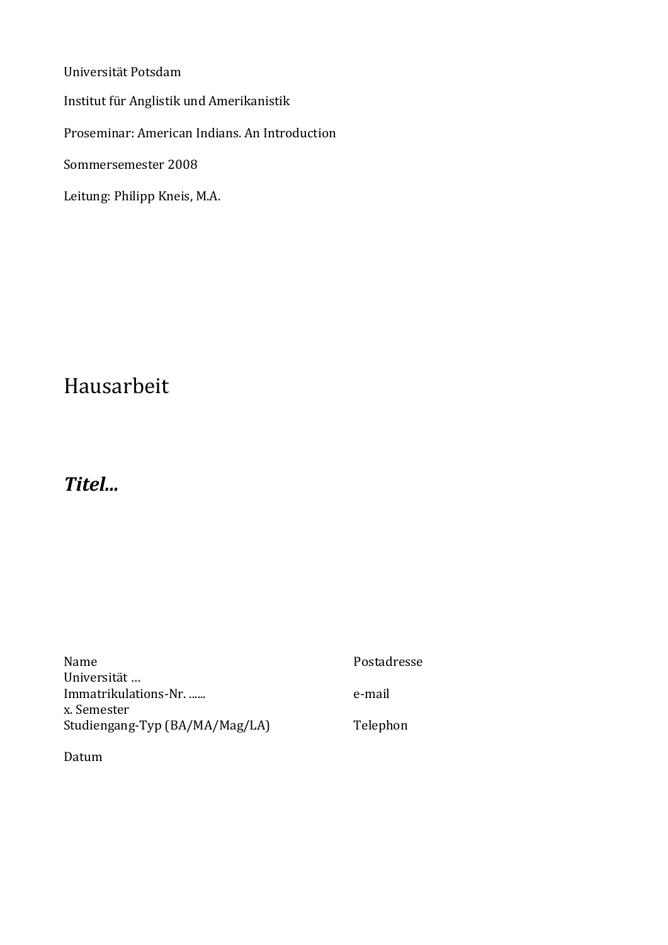Universität Potsdam Institut für Anglistik und Amerikanistik Proseminar: American Indians. An Introduction Sommersemester 2008 Leitung: Philipp Kneis, M.A.

# Hausarbeit

# *Titel...*

| <b>Name</b>                         | Postadresse |
|-------------------------------------|-------------|
| Universität<br>Immatrikulations-Nr. | e-mail      |
| x. Semester                         |             |
| Studiengang-Typ (BA/MA/Mag/LA)      | Telephon    |

Datum